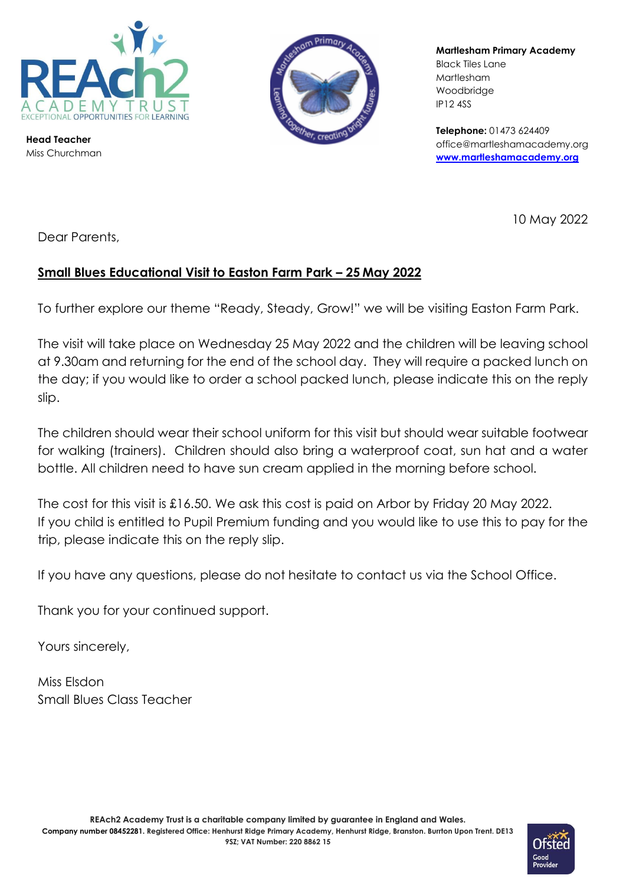

**Head Teacher** Miss Churchman



**Martlesham Primary Academy** Black Tiles Lane Martlesham Woodbridge IP12 4SS

**Telephone:** 01473 624409 office@martleshamacademy.org **[www.martleshamacademy.org](http://www.martleshamacademy.org/)**

10 May 2022

Dear Parents,

## **Small Blues Educational Visit to Easton Farm Park – 25 May 2022**

To further explore our theme "Ready, Steady, Grow!" we will be visiting Easton Farm Park.

The visit will take place on Wednesday 25 May 2022 and the children will be leaving school at 9.30am and returning for the end of the school day. They will require a packed lunch on the day; if you would like to order a school packed lunch, please indicate this on the reply slip.

The children should wear their school uniform for this visit but should wear suitable footwear for walking (trainers). Children should also bring a waterproof coat, sun hat and a water bottle. All children need to have sun cream applied in the morning before school.

The cost for this visit is £16.50. We ask this cost is paid on Arbor by Friday 20 May 2022. If you child is entitled to Pupil Premium funding and you would like to use this to pay for the trip, please indicate this on the reply slip.

If you have any questions, please do not hesitate to contact us via the School Office.

Thank you for your continued support.

Yours sincerely,

Miss Elsdon Small Blues Class Teacher